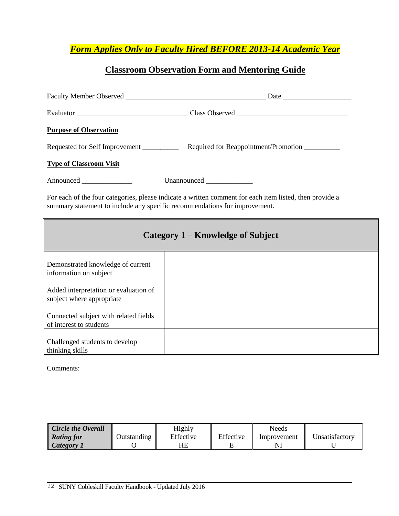*Form Applies Only to Faculty Hired BEFORE 2013-14 Academic Year*

## **Classroom Observation Form and Mentoring Guide**

| <b>Purpose of Observation</b>                                                                                                                                                         |                                      |  |
|---------------------------------------------------------------------------------------------------------------------------------------------------------------------------------------|--------------------------------------|--|
| Requested for Self Improvement                                                                                                                                                        | Required for Reappointment/Promotion |  |
| <b>Type of Classroom Visit</b>                                                                                                                                                        |                                      |  |
| Announced ______________                                                                                                                                                              |                                      |  |
| For each of the four categories, please indicate a written comment for each item listed, then provide a<br>summary statement to include any specific recommendations for improvement. |                                      |  |
|                                                                                                                                                                                       |                                      |  |

| Category 1 – Knowledge of Subject                                  |  |  |  |
|--------------------------------------------------------------------|--|--|--|
| Demonstrated knowledge of current<br>information on subject        |  |  |  |
| Added interpretation or evaluation of<br>subject where appropriate |  |  |  |
| Connected subject with related fields<br>of interest to students   |  |  |  |
| Challenged students to develop<br>thinking skills                  |  |  |  |

Comments:

| <b>Circle the Overall</b> |                    | Highly    |           | Needs       |                |
|---------------------------|--------------------|-----------|-----------|-------------|----------------|
| <b>Rating for</b>         | <b>Dutstanding</b> | Effective | Effective | Improvement | Unsatisfactory |
| Category 1                |                    | HE        |           |             |                |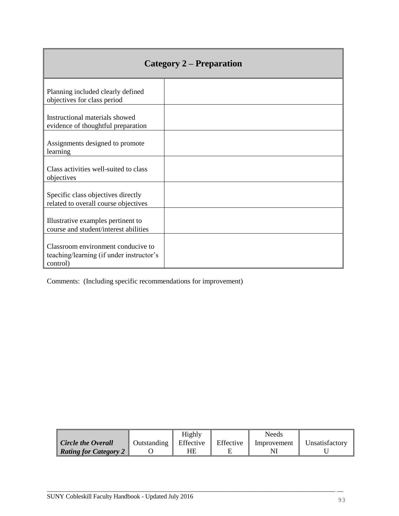| Category 2 – Preparation                                                                   |  |  |
|--------------------------------------------------------------------------------------------|--|--|
| Planning included clearly defined<br>objectives for class period                           |  |  |
| Instructional materials showed<br>evidence of thoughtful preparation                       |  |  |
| Assignments designed to promote<br>learning                                                |  |  |
| Class activities well-suited to class<br>objectives                                        |  |  |
| Specific class objectives directly<br>related to overall course objectives                 |  |  |
| Illustrative examples pertinent to<br>course and student/interest abilities                |  |  |
| Classroom environment conducive to<br>teaching/learning (if under instructor's<br>control) |  |  |

Comments: (Including specific recommendations for improvement)

 $\blacksquare$ 

|                              |             | Highly    |           | Needs       |                |
|------------------------------|-------------|-----------|-----------|-------------|----------------|
| <b>Circle the Overall</b>    | Outstanding | Effective | Effective | Improvement | Unsatisfactory |
| <b>Rating for Category 2</b> |             | HE        |           |             |                |

 $\overline{\phantom{a}}$  , and the contribution of the contribution of the contribution of the contribution of the contribution of the contribution of the contribution of the contribution of the contribution of the contribution of the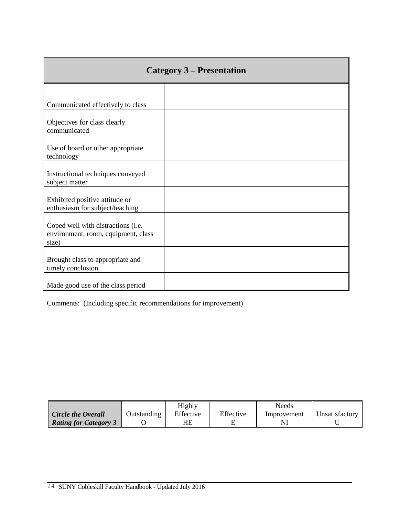| <b>Category 3 – Presentation</b>                                                   |  |  |
|------------------------------------------------------------------------------------|--|--|
|                                                                                    |  |  |
| Communicated effectively to class                                                  |  |  |
| Objectives for class clearly<br>communicated                                       |  |  |
| Use of board or other appropriate<br>technology                                    |  |  |
| Instructional techniques conveyed<br>subject matter                                |  |  |
| Exhibited positive attitude or<br>enthusiasm for subject/teaching                  |  |  |
| Coped well with distractions (i.e.<br>environment, room, equipment, class<br>size) |  |  |
| Brought class to appropriate and<br>timely conclusion                              |  |  |
| Made good use of the class period                                                  |  |  |

Comments: (Including specific recommendations for improvement)

|                              |             | Highly    |           | Needs       |                |
|------------------------------|-------------|-----------|-----------|-------------|----------------|
| <b>Circle the Overall</b>    | Outstanding | Effective | Effective | Improvement | Unsatisfactory |
| <b>Rating for Category 3</b> |             | HE        |           |             |                |